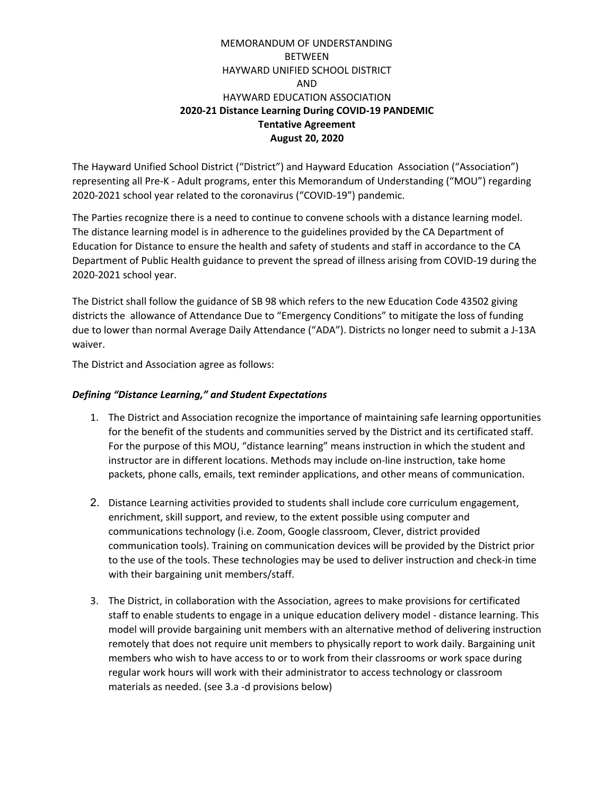The Hayward Unified School District ("District") and Hayward Education Association ("Association") representing all Pre-K - Adult programs, enter this Memorandum of Understanding ("MOU") regarding 2020-2021 school year related to the coronavirus ("COVID-19") pandemic.

The Parties recognize there is a need to continue to convene schools with a distance learning model. The distance learning model is in adherence to the guidelines provided by the CA Department of Education for Distance to ensure the health and safety of students and staff in accordance to the CA Department of Public Health guidance to prevent the spread of illness arising from COVID-19 during the 2020-2021 school year.

The District shall follow the guidance of SB 98 which refers to the new Education Code 43502 giving districts the allowance of Attendance Due to "Emergency Conditions" to mitigate the loss of funding due to lower than normal Average Daily Attendance ("ADA"). Districts no longer need to submit a J-13A waiver.

The District and Association agree as follows:

#### *Defining "Distance Learning," and Student Expectations*

- 1. The District and Association recognize the importance of maintaining safe learning opportunities for the benefit of the students and communities served by the District and its certificated staff. For the purpose of this MOU, "distance learning" means instruction in which the student and instructor are in different locations. Methods may include on-line instruction, take home packets, phone calls, emails, text reminder applications, and other means of communication.
- 2. Distance Learning activities provided to students shall include core curriculum engagement, enrichment, skill support, and review, to the extent possible using computer and communications technology (i.e. Zoom, Google classroom, Clever, district provided communication tools). Training on communication devices will be provided by the District prior to the use of the tools. These technologies may be used to deliver instruction and check-in time with their bargaining unit members/staff.
- 3. The District, in collaboration with the Association, agrees to make provisions for certificated staff to enable students to engage in a unique education delivery model - distance learning. This model will provide bargaining unit members with an alternative method of delivering instruction remotely that does not require unit members to physically report to work daily. Bargaining unit members who wish to have access to or to work from their classrooms or work space during regular work hours will work with their administrator to access technology or classroom materials as needed. (see 3.a -d provisions below)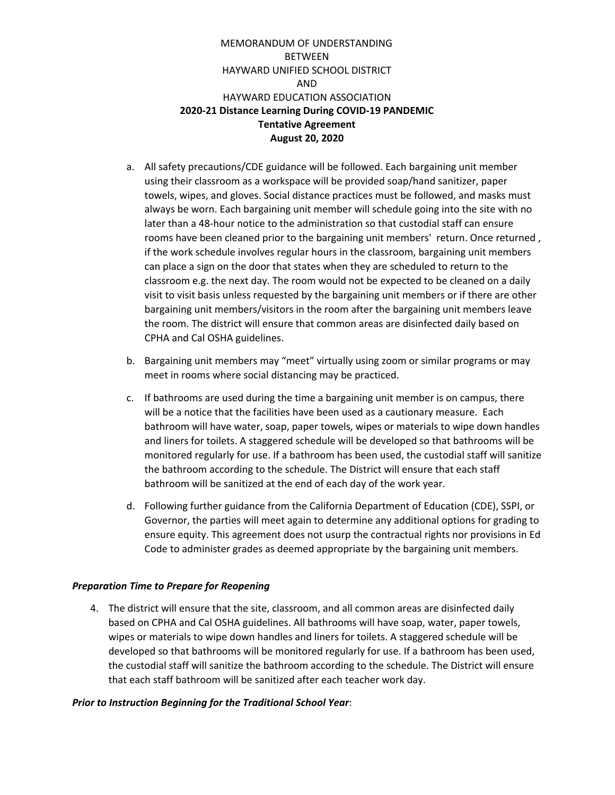- a. All safety precautions/CDE guidance will be followed. Each bargaining unit member using their classroom as a workspace will be provided soap/hand sanitizer, paper towels, wipes, and gloves. Social distance practices must be followed, and masks must always be worn. Each bargaining unit member will schedule going into the site with no later than a 48-hour notice to the administration so that custodial staff can ensure rooms have been cleaned prior to the bargaining unit members' return. Once returned , if the work schedule involves regular hours in the classroom, bargaining unit members can place a sign on the door that states when they are scheduled to return to the classroom e.g. the next day. The room would not be expected to be cleaned on a daily visit to visit basis unless requested by the bargaining unit members or if there are other bargaining unit members/visitors in the room after the bargaining unit members leave the room. The district will ensure that common areas are disinfected daily based on CPHA and Cal OSHA guidelines.
- b. Bargaining unit members may "meet" virtually using zoom or similar programs or may meet in rooms where social distancing may be practiced.
- c. If bathrooms are used during the time a bargaining unit member is on campus, there will be a notice that the facilities have been used as a cautionary measure. Each bathroom will have water, soap, paper towels, wipes or materials to wipe down handles and liners for toilets. A staggered schedule will be developed so that bathrooms will be monitored regularly for use. If a bathroom has been used, the custodial staff will sanitize the bathroom according to the schedule. The District will ensure that each staff bathroom will be sanitized at the end of each day of the work year.
- d. Following further guidance from the California Department of Education (CDE), SSPI, or Governor, the parties will meet again to determine any additional options for grading to ensure equity. This agreement does not usurp the contractual rights nor provisions in Ed Code to administer grades as deemed appropriate by the bargaining unit members.

#### *Preparation Time to Prepare for Reopening*

4. The district will ensure that the site, classroom, and all common areas are disinfected daily based on CPHA and Cal OSHA guidelines. All bathrooms will have soap, water, paper towels, wipes or materials to wipe down handles and liners for toilets. A staggered schedule will be developed so that bathrooms will be monitored regularly for use. If a bathroom has been used, the custodial staff will sanitize the bathroom according to the schedule. The District will ensure that each staff bathroom will be sanitized after each teacher work day.

#### *Prior to Instruction Beginning for the Traditional School Year*: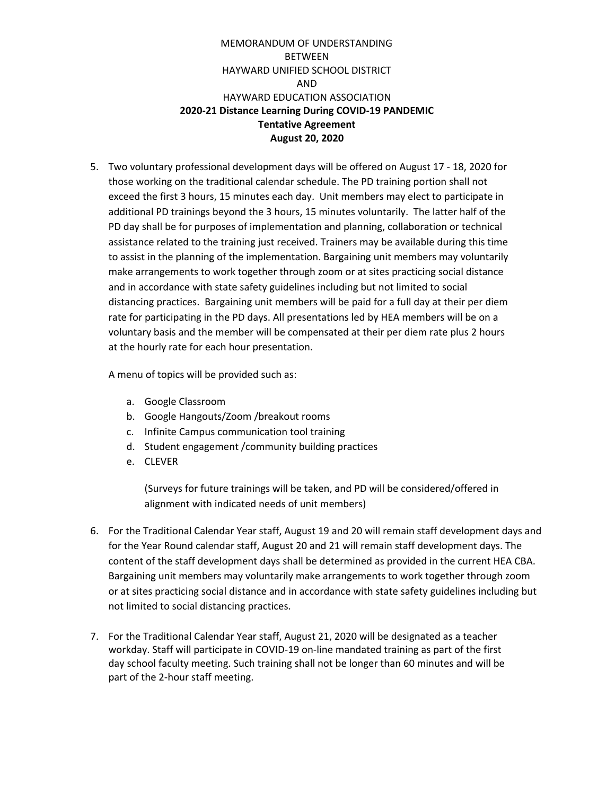5. Two voluntary professional development days will be offered on August 17 - 18, 2020 for those working on the traditional calendar schedule. The PD training portion shall not exceed the first 3 hours, 15 minutes each day. Unit members may elect to participate in additional PD trainings beyond the 3 hours, 15 minutes voluntarily. The latter half of the PD day shall be for purposes of implementation and planning, collaboration or technical assistance related to the training just received. Trainers may be available during this time to assist in the planning of the implementation. Bargaining unit members may voluntarily make arrangements to work together through zoom or at sites practicing social distance and in accordance with state safety guidelines including but not limited to social distancing practices. Bargaining unit members will be paid for a full day at their per diem rate for participating in the PD days. All presentations led by HEA members will be on a voluntary basis and the member will be compensated at their per diem rate plus 2 hours at the hourly rate for each hour presentation.

A menu of topics will be provided such as:

- a. Google Classroom
- b. Google Hangouts/Zoom /breakout rooms
- c. Infinite Campus communication tool training
- d. Student engagement /community building practices
- e. CLEVER

(Surveys for future trainings will be taken, and PD will be considered/offered in alignment with indicated needs of unit members)

- 6. For the Traditional Calendar Year staff, August 19 and 20 will remain staff development days and for the Year Round calendar staff, August 20 and 21 will remain staff development days. The content of the staff development days shall be determined as provided in the current HEA CBA. Bargaining unit members may voluntarily make arrangements to work together through zoom or at sites practicing social distance and in accordance with state safety guidelines including but not limited to social distancing practices.
- 7. For the Traditional Calendar Year staff, August 21, 2020 will be designated as a teacher workday. Staff will participate in COVID-19 on-line mandated training as part of the first day school faculty meeting. Such training shall not be longer than 60 minutes and will be part of the 2-hour staff meeting.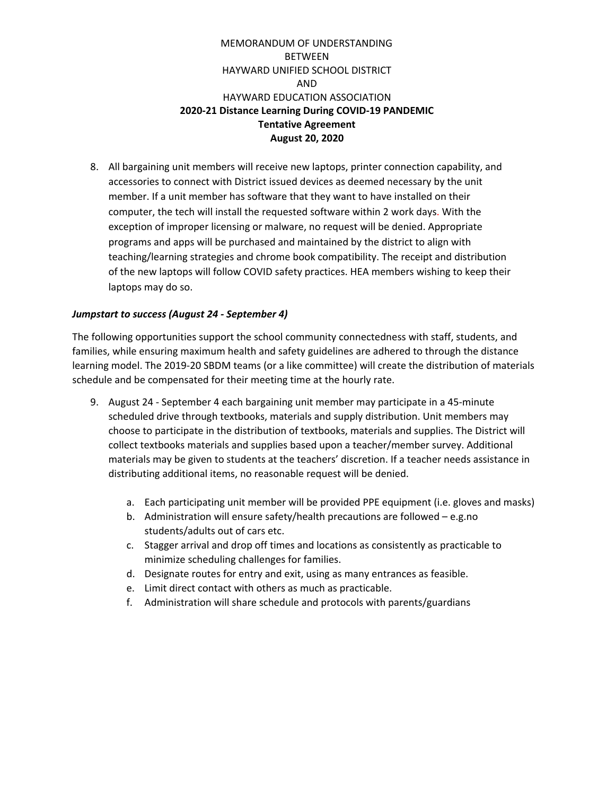8. All bargaining unit members will receive new laptops, printer connection capability, and accessories to connect with District issued devices as deemed necessary by the unit member. If a unit member has software that they want to have installed on their computer, the tech will install the requested software within 2 work days. With the exception of improper licensing or malware, no request will be denied. Appropriate programs and apps will be purchased and maintained by the district to align with teaching/learning strategies and chrome book compatibility. The receipt and distribution of the new laptops will follow COVID safety practices. HEA members wishing to keep their laptops may do so.

#### *Jumpstart to success (August 24 - September 4)*

The following opportunities support the school community connectedness with staff, students, and families, while ensuring maximum health and safety guidelines are adhered to through the distance learning model. The 2019-20 SBDM teams (or a like committee) will create the distribution of materials schedule and be compensated for their meeting time at the hourly rate.

- 9. August 24 September 4 each bargaining unit member may participate in a 45-minute scheduled drive through textbooks, materials and supply distribution. Unit members may choose to participate in the distribution of textbooks, materials and supplies. The District will collect textbooks materials and supplies based upon a teacher/member survey. Additional materials may be given to students at the teachers' discretion. If a teacher needs assistance in distributing additional items, no reasonable request will be denied.
	- a. Each participating unit member will be provided PPE equipment (i.e. gloves and masks)
	- b. Administration will ensure safety/health precautions are followed e.g.no students/adults out of cars etc.
	- c. Stagger arrival and drop off times and locations as consistently as practicable to minimize scheduling challenges for families.
	- d. Designate routes for entry and exit, using as many entrances as feasible.
	- e. Limit direct contact with others as much as practicable.
	- f. Administration will share schedule and protocols with parents/guardians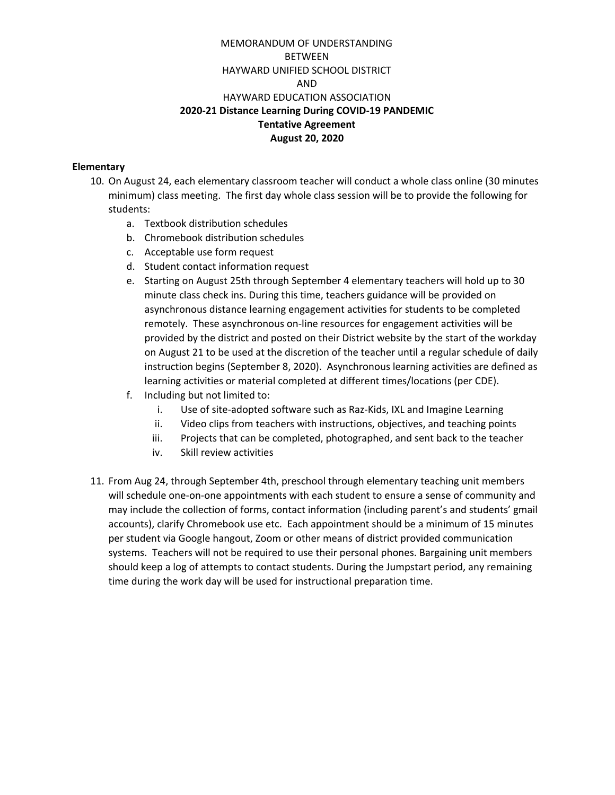#### **Elementary**

- 10. On August 24, each elementary classroom teacher will conduct a whole class online (30 minutes minimum) class meeting. The first day whole class session will be to provide the following for students:
	- a. Textbook distribution schedules
	- b. Chromebook distribution schedules
	- c. Acceptable use form request
	- d. Student contact information request
	- e. Starting on August 25th through September 4 elementary teachers will hold up to 30 minute class check ins. During this time, teachers guidance will be provided on asynchronous distance learning engagement activities for students to be completed remotely. These asynchronous on-line resources for engagement activities will be provided by the district and posted on their District website by the start of the workday on August 21 to be used at the discretion of the teacher until a regular schedule of daily instruction begins (September 8, 2020). Asynchronous learning activities are defined as learning activities or material completed at different times/locations (per CDE).
	- f. Including but not limited to:
		- i. Use of site-adopted software such as Raz-Kids, IXL and Imagine Learning
		- ii. Video clips from teachers with instructions, objectives, and teaching points
		- iii. Projects that can be completed, photographed, and sent back to the teacher
		- iv. Skill review activities
- 11. From Aug 24, through September 4th, preschool through elementary teaching unit members will schedule one-on-one appointments with each student to ensure a sense of community and may include the collection of forms, contact information (including parent's and students' gmail accounts), clarify Chromebook use etc. Each appointment should be a minimum of 15 minutes per student via Google hangout, Zoom or other means of district provided communication systems. Teachers will not be required to use their personal phones. Bargaining unit members should keep a log of attempts to contact students. During the Jumpstart period, any remaining time during the work day will be used for instructional preparation time.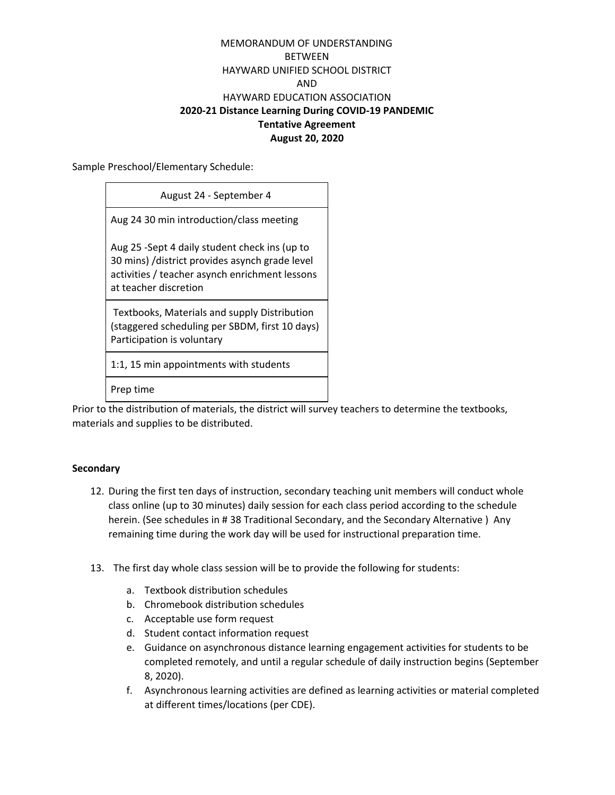Sample Preschool/Elementary Schedule:

| August 24 - September 4                                                                                                                                                    |
|----------------------------------------------------------------------------------------------------------------------------------------------------------------------------|
| Aug 24 30 min introduction/class meeting                                                                                                                                   |
| Aug 25 -Sept 4 daily student check ins (up to<br>30 mins) /district provides asynch grade level<br>activities / teacher asynch enrichment lessons<br>at teacher discretion |
| Textbooks, Materials and supply Distribution<br>(staggered scheduling per SBDM, first 10 days)<br>Participation is voluntary                                               |
| 1:1, 15 min appointments with students                                                                                                                                     |

Prep time

Prior to the distribution of materials, the district will survey teachers to determine the textbooks, materials and supplies to be distributed.

#### **Secondary**

- 12. During the first ten days of instruction, secondary teaching unit members will conduct whole class online (up to 30 minutes) daily session for each class period according to the schedule herein. (See schedules in # 38 Traditional Secondary, and the Secondary Alternative ) Any remaining time during the work day will be used for instructional preparation time.
- 13. The first day whole class session will be to provide the following for students:
	- a. Textbook distribution schedules
	- b. Chromebook distribution schedules
	- c. Acceptable use form request
	- d. Student contact information request
	- e. Guidance on asynchronous distance learning engagement activities for students to be completed remotely, and until a regular schedule of daily instruction begins (September 8, 2020).
	- f. Asynchronous learning activities are defined as learning activities or material completed at different times/locations (per CDE).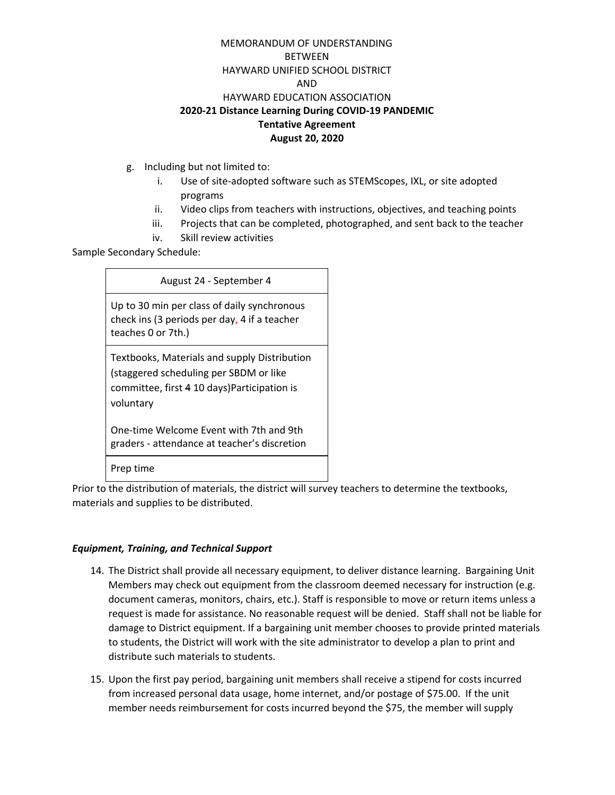- g. Including but not limited to:
	- i. Use of site-adopted software such as STEMScopes, IXL, or site adopted programs
	- ii. Video clips from teachers with instructions, objectives, and teaching points
	- iii. Projects that can be completed, photographed, and sent back to the teacher
	- iv. Skill review activities

Sample Secondary Schedule:

#### August 24 - September 4

Up to 30 min per class of daily synchronous check ins (3 periods per day, 4 if a teacher teaches 0 or 7th.)

Textbooks, Materials and supply Distribution (staggered scheduling per SBDM or like committee, first 4 10 days)Participation is voluntary

One-time Welcome Event with 7th and 9th graders - attendance at teacher's discretion

Prep time

Prior to the distribution of materials, the district will survey teachers to determine the textbooks, materials and supplies to be distributed.

#### *Equipment, Training, and Technical Support*

- 14. The District shall provide all necessary equipment, to deliver distance learning. Bargaining Unit Members may check out equipment from the classroom deemed necessary for instruction (e.g. document cameras, monitors, chairs, etc.). Staff is responsible to move or return items unless a request is made for assistance. No reasonable request will be denied. Staff shall not be liable for damage to District equipment. If a bargaining unit member chooses to provide printed materials to students, the District will work with the site administrator to develop a plan to print and distribute such materials to students.
- 15. Upon the first pay period, bargaining unit members shall receive a stipend for costs incurred from increased personal data usage, home internet, and/or postage of \$75.00. If the unit member needs reimbursement for costs incurred beyond the \$75, the member will supply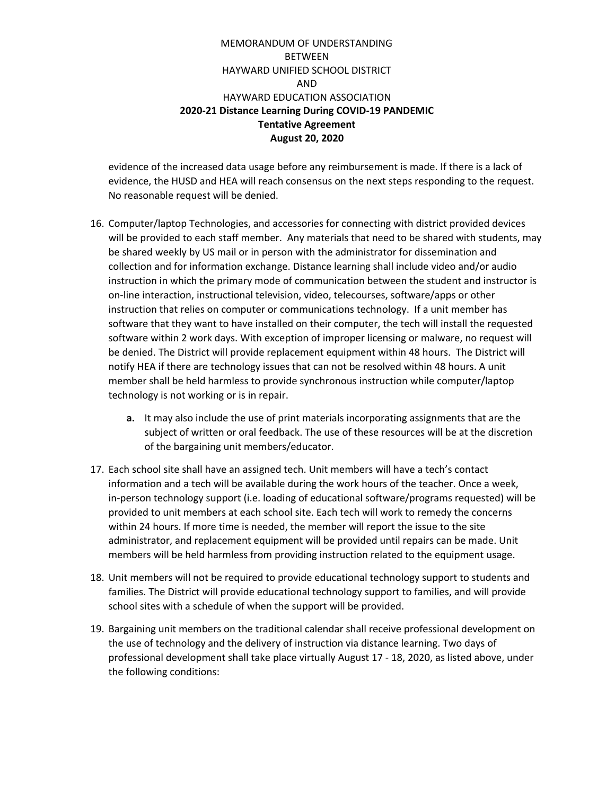evidence of the increased data usage before any reimbursement is made. If there is a lack of evidence, the HUSD and HEA will reach consensus on the next steps responding to the request. No reasonable request will be denied.

- 16. Computer/laptop Technologies, and accessories for connecting with district provided devices will be provided to each staff member. Any materials that need to be shared with students, may be shared weekly by US mail or in person with the administrator for dissemination and collection and for information exchange. Distance learning shall include video and/or audio instruction in which the primary mode of communication between the student and instructor is on-line interaction, instructional television, video, telecourses, software/apps or other instruction that relies on computer or communications technology. If a unit member has software that they want to have installed on their computer, the tech will install the requested software within 2 work days. With exception of improper licensing or malware, no request will be denied. The District will provide replacement equipment within 48 hours. The District will notify HEA if there are technology issues that can not be resolved within 48 hours. A unit member shall be held harmless to provide synchronous instruction while computer/laptop technology is not working or is in repair.
	- **a.** It may also include the use of print materials incorporating assignments that are the subject of written or oral feedback. The use of these resources will be at the discretion of the bargaining unit members/educator.
- 17. Each school site shall have an assigned tech. Unit members will have a tech's contact information and a tech will be available during the work hours of the teacher. Once a week, in-person technology support (i.e. loading of educational software/programs requested) will be provided to unit members at each school site. Each tech will work to remedy the concerns within 24 hours. If more time is needed, the member will report the issue to the site administrator, and replacement equipment will be provided until repairs can be made. Unit members will be held harmless from providing instruction related to the equipment usage.
- 18. Unit members will not be required to provide educational technology support to students and families. The District will provide educational technology support to families, and will provide school sites with a schedule of when the support will be provided.
- 19. Bargaining unit members on the traditional calendar shall receive professional development on the use of technology and the delivery of instruction via distance learning. Two days of professional development shall take place virtually August 17 - 18, 2020, as listed above, under the following conditions: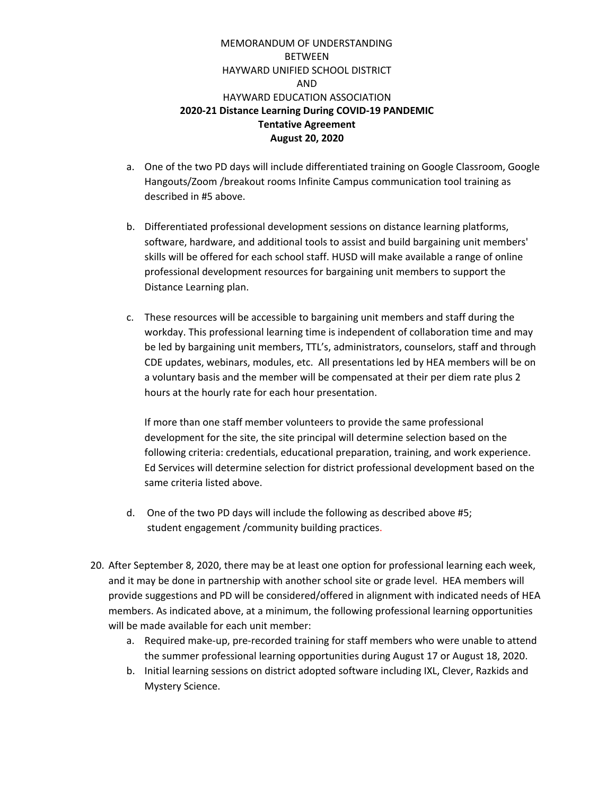- a. One of the two PD days will include differentiated training on Google Classroom, Google Hangouts/Zoom /breakout rooms Infinite Campus communication tool training as described in #5 above.
- b. Differentiated professional development sessions on distance learning platforms, software, hardware, and additional tools to assist and build bargaining unit members' skills will be offered for each school staff. HUSD will make available a range of online professional development resources for bargaining unit members to support the Distance Learning plan.
- c. These resources will be accessible to bargaining unit members and staff during the workday. This professional learning time is independent of collaboration time and may be led by bargaining unit members, TTL's, administrators, counselors, staff and through CDE updates, webinars, modules, etc. All presentations led by HEA members will be on a voluntary basis and the member will be compensated at their per diem rate plus 2 hours at the hourly rate for each hour presentation.

If more than one staff member volunteers to provide the same professional development for the site, the site principal will determine selection based on the following criteria: credentials, educational preparation, training, and work experience. Ed Services will determine selection for district professional development based on the same criteria listed above.

- d. One of the two PD days will include the following as described above #5; student engagement /community building practices.
- 20. After September 8, 2020, there may be at least one option for professional learning each week, and it may be done in partnership with another school site or grade level. HEA members will provide suggestions and PD will be considered/offered in alignment with indicated needs of HEA members. As indicated above, at a minimum, the following professional learning opportunities will be made available for each unit member:
	- a. Required make-up, pre-recorded training for staff members who were unable to attend the summer professional learning opportunities during August 17 or August 18, 2020.
	- b. Initial learning sessions on district adopted software including IXL, Clever, Razkids and Mystery Science.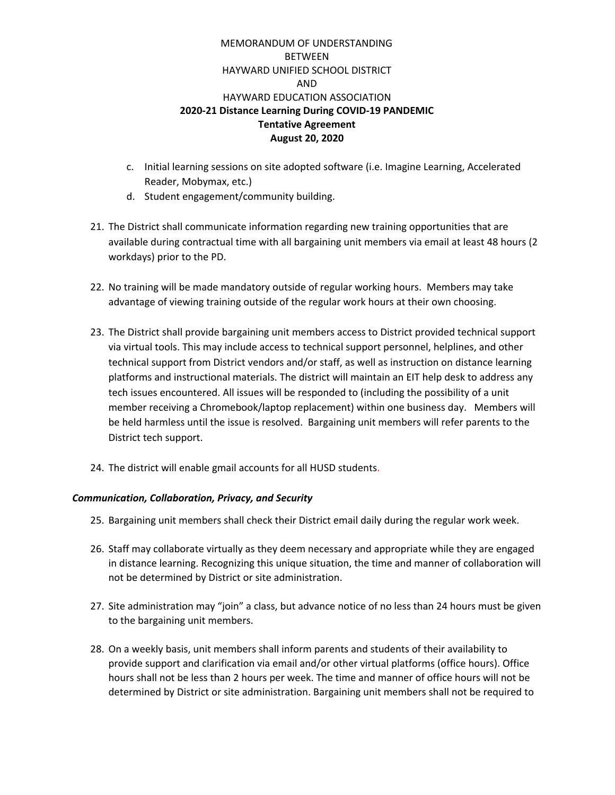- c. Initial learning sessions on site adopted software (i.e. Imagine Learning, Accelerated Reader, Mobymax, etc.)
- d. Student engagement/community building.
- 21. The District shall communicate information regarding new training opportunities that are available during contractual time with all bargaining unit members via email at least 48 hours (2 workdays) prior to the PD.
- 22. No training will be made mandatory outside of regular working hours. Members may take advantage of viewing training outside of the regular work hours at their own choosing.
- 23. The District shall provide bargaining unit members access to District provided technical support via virtual tools. This may include access to technical support personnel, helplines, and other technical support from District vendors and/or staff, as well as instruction on distance learning platforms and instructional materials. The district will maintain an EIT help desk to address any tech issues encountered. All issues will be responded to (including the possibility of a unit member receiving a Chromebook/laptop replacement) within one business day. Members will be held harmless until the issue is resolved. Bargaining unit members will refer parents to the District tech support.
- 24. The district will enable gmail accounts for all HUSD students.

# *Communication, Collaboration, Privacy, and Security*

- 25. Bargaining unit members shall check their District email daily during the regular work week.
- 26. Staff may collaborate virtually as they deem necessary and appropriate while they are engaged in distance learning. Recognizing this unique situation, the time and manner of collaboration will not be determined by District or site administration.
- 27. Site administration may "join" a class, but advance notice of no less than 24 hours must be given to the bargaining unit members.
- 28. On a weekly basis, unit members shall inform parents and students of their availability to provide support and clarification via email and/or other virtual platforms (office hours). Office hours shall not be less than 2 hours per week. The time and manner of office hours will not be determined by District or site administration. Bargaining unit members shall not be required to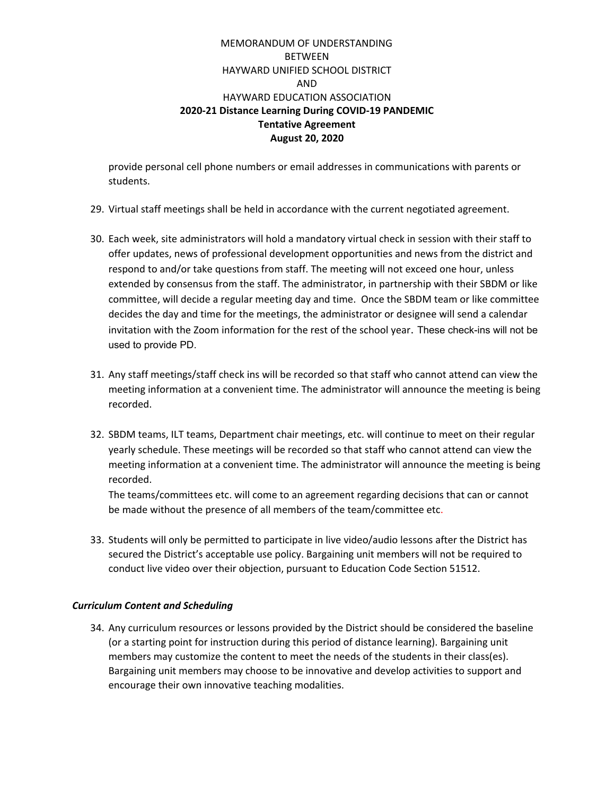provide personal cell phone numbers or email addresses in communications with parents or students.

- 29. Virtual staff meetings shall be held in accordance with the current negotiated agreement.
- 30. Each week, site administrators will hold a mandatory virtual check in session with their staff to offer updates, news of professional development opportunities and news from the district and respond to and/or take questions from staff. The meeting will not exceed one hour, unless extended by consensus from the staff. The administrator, in partnership with their SBDM or like committee, will decide a regular meeting day and time. Once the SBDM team or like committee decides the day and time for the meetings, the administrator or designee will send a calendar invitation with the Zoom information for the rest of the school year. These check-ins will not be used to provide PD.
- 31. Any staff meetings/staff check ins will be recorded so that staff who cannot attend can view the meeting information at a convenient time. The administrator will announce the meeting is being recorded.
- 32. SBDM teams, ILT teams, Department chair meetings, etc. will continue to meet on their regular yearly schedule. These meetings will be recorded so that staff who cannot attend can view the meeting information at a convenient time. The administrator will announce the meeting is being recorded.

The teams/committees etc. will come to an agreement regarding decisions that can or cannot be made without the presence of all members of the team/committee etc.

33. Students will only be permitted to participate in live video/audio lessons after the District has secured the District's acceptable use policy. Bargaining unit members will not be required to conduct live video over their objection, pursuant to Education Code Section 51512.

# *Curriculum Content and Scheduling*

34. Any curriculum resources or lessons provided by the District should be considered the baseline (or a starting point for instruction during this period of distance learning). Bargaining unit members may customize the content to meet the needs of the students in their class(es). Bargaining unit members may choose to be innovative and develop activities to support and encourage their own innovative teaching modalities.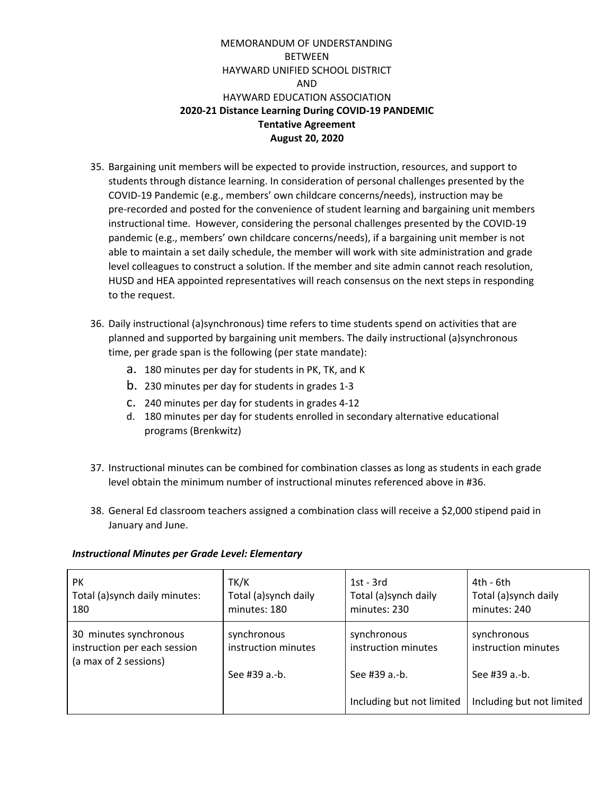- 35. Bargaining unit members will be expected to provide instruction, resources, and support to students through distance learning. In consideration of personal challenges presented by the COVID-19 Pandemic (e.g., members' own childcare concerns/needs), instruction may be pre-recorded and posted for the convenience of student learning and bargaining unit members instructional time. However, considering the personal challenges presented by the COVID-19 pandemic (e.g., members' own childcare concerns/needs), if a bargaining unit member is not able to maintain a set daily schedule, the member will work with site administration and grade level colleagues to construct a solution. If the member and site admin cannot reach resolution, HUSD and HEA appointed representatives will reach consensus on the next steps in responding to the request.
- 36. Daily instructional (a)synchronous) time refers to time students spend on activities that are planned and supported by bargaining unit members. The daily instructional (a)synchronous time, per grade span is the following (per state mandate):
	- a. 180 minutes per day for students in PK, TK, and K
	- b. 230 minutes per day for students in grades 1-3
	- c. 240 minutes per day for students in grades 4-12
	- d. 180 minutes per day for students enrolled in secondary alternative educational programs (Brenkwitz)
- 37. Instructional minutes can be combined for combination classes as long as students in each grade level obtain the minimum number of instructional minutes referenced above in #36.
- 38. General Ed classroom teachers assigned a combination class will receive a \$2,000 stipend paid in January and June.

| <b>PK</b><br>Total (a) synch daily minutes:<br>180                              | TK/K<br>Total (a)synch daily<br>minutes: 180 | $1st - 3rd$<br>Total (a)synch daily<br>minutes: 230 | 4th - 6th<br>Total (a)synch daily<br>minutes: 240 |
|---------------------------------------------------------------------------------|----------------------------------------------|-----------------------------------------------------|---------------------------------------------------|
| 30 minutes synchronous<br>instruction per each session<br>(a max of 2 sessions) | synchronous<br>instruction minutes           | synchronous<br>instruction minutes                  | synchronous<br>instruction minutes                |
|                                                                                 | See #39 a.-b.                                | See #39 a.-b.                                       | See #39 a.-b.                                     |
|                                                                                 |                                              | Including but not limited                           | Including but not limited                         |

#### *Instructional Minutes per Grade Level: Elementary*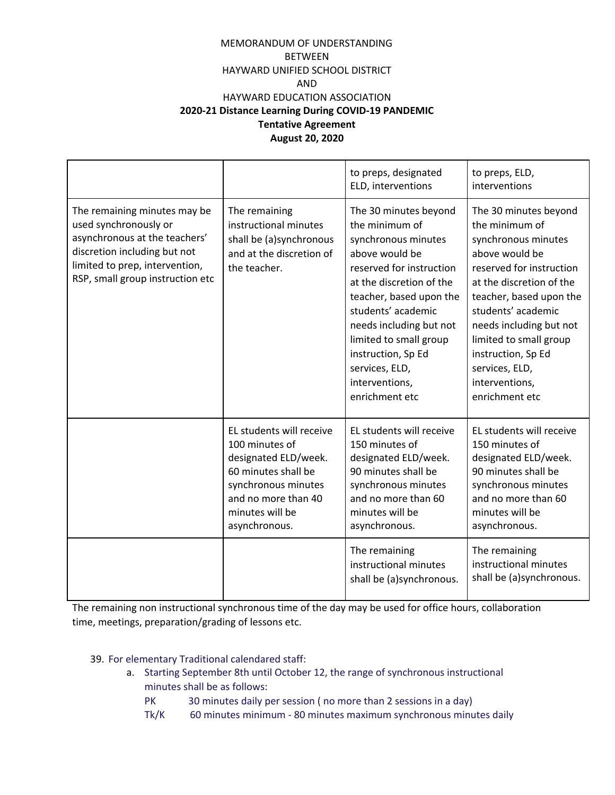|                                                                                                                                                                                              |                                                                                                                                                                             | to preps, designated<br>ELD, interventions                                                                                                                                                                                                                                                                                 | to preps, ELD,<br>interventions                                                                                                                                                                                                                                                                                            |
|----------------------------------------------------------------------------------------------------------------------------------------------------------------------------------------------|-----------------------------------------------------------------------------------------------------------------------------------------------------------------------------|----------------------------------------------------------------------------------------------------------------------------------------------------------------------------------------------------------------------------------------------------------------------------------------------------------------------------|----------------------------------------------------------------------------------------------------------------------------------------------------------------------------------------------------------------------------------------------------------------------------------------------------------------------------|
| The remaining minutes may be<br>used synchronously or<br>asynchronous at the teachers'<br>discretion including but not<br>limited to prep, intervention,<br>RSP, small group instruction etc | The remaining<br>instructional minutes<br>shall be (a)synchronous<br>and at the discretion of<br>the teacher.                                                               | The 30 minutes beyond<br>the minimum of<br>synchronous minutes<br>above would be<br>reserved for instruction<br>at the discretion of the<br>teacher, based upon the<br>students' academic<br>needs including but not<br>limited to small group<br>instruction, Sp Ed<br>services, ELD,<br>interventions,<br>enrichment etc | The 30 minutes beyond<br>the minimum of<br>synchronous minutes<br>above would be<br>reserved for instruction<br>at the discretion of the<br>teacher, based upon the<br>students' academic<br>needs including but not<br>limited to small group<br>instruction, Sp Ed<br>services, ELD,<br>interventions,<br>enrichment etc |
|                                                                                                                                                                                              | EL students will receive<br>100 minutes of<br>designated ELD/week.<br>60 minutes shall be<br>synchronous minutes<br>and no more than 40<br>minutes will be<br>asynchronous. | EL students will receive<br>150 minutes of<br>designated ELD/week.<br>90 minutes shall be<br>synchronous minutes<br>and no more than 60<br>minutes will be<br>asynchronous.<br>The remaining<br>instructional minutes<br>shall be (a)synchronous.                                                                          | EL students will receive<br>150 minutes of<br>designated ELD/week.<br>90 minutes shall be<br>synchronous minutes<br>and no more than 60<br>minutes will be<br>asynchronous.<br>The remaining<br>instructional minutes<br>shall be (a)synchronous.                                                                          |

The remaining non instructional synchronous time of the day may be used for office hours, collaboration time, meetings, preparation/grading of lessons etc.

- 39. For elementary Traditional calendared staff:
	- a. Starting September 8th until October 12, the range of synchronous instructional minutes shall be as follows:
		- PK 30 minutes daily per session ( no more than 2 sessions in a day)
		- Tk/K 60 minutes minimum 80 minutes maximum synchronous minutes daily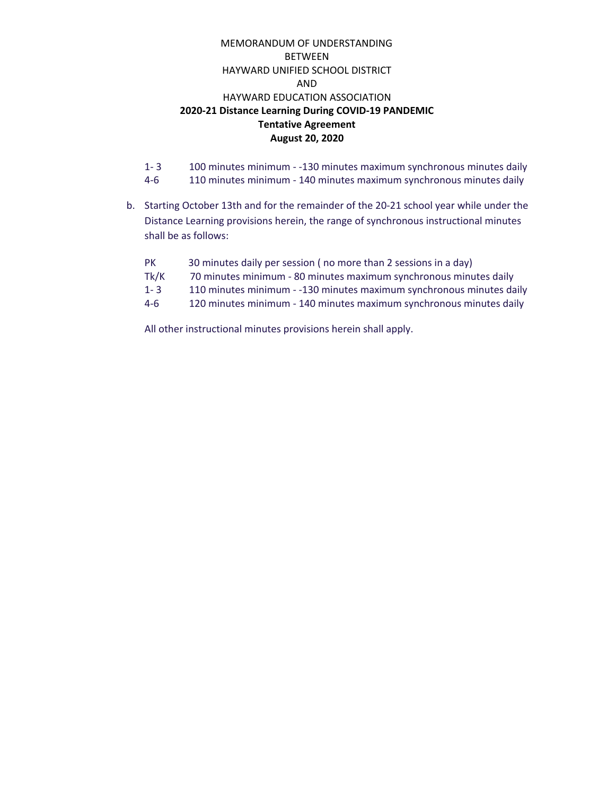- 1- 3 100 minutes minimum -130 minutes maximum synchronous minutes daily 4-6 110 minutes minimum - 140 minutes maximum synchronous minutes daily
- b. Starting October 13th and for the remainder of the 20-21 school year while under the Distance Learning provisions herein, the range of synchronous instructional minutes shall be as follows:

| <b>PK</b> | 30 minutes daily per session (no more than 2 sessions in a day)      |
|-----------|----------------------------------------------------------------------|
| Tk/K      | 70 minutes minimum - 80 minutes maximum synchronous minutes daily    |
| $1 - 3$   | 110 minutes minimum - -130 minutes maximum synchronous minutes daily |
| $4 - 6$   | 120 minutes minimum - 140 minutes maximum synchronous minutes daily  |
|           |                                                                      |

All other instructional minutes provisions herein shall apply.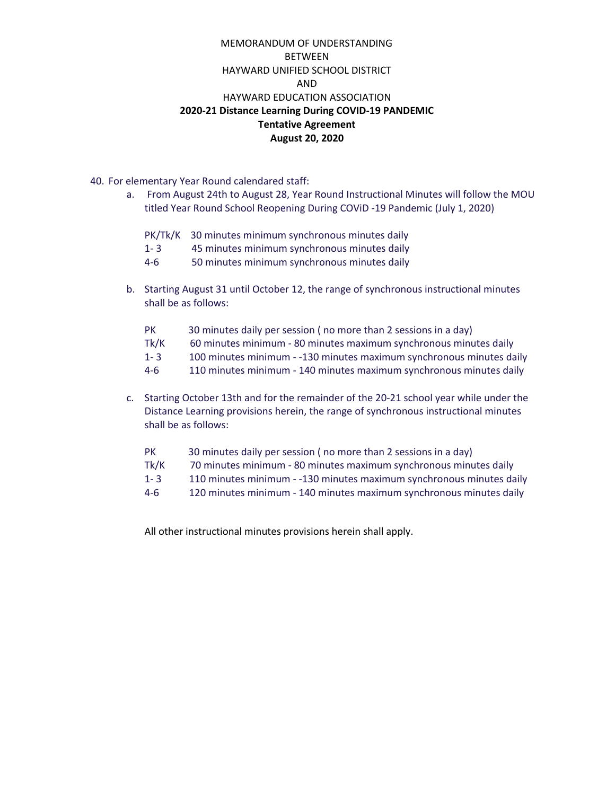- 40. For elementary Year Round calendared staff:
	- a. From August 24th to August 28, Year Round Instructional Minutes will follow the MOU titled Year Round School Reopening During COViD -19 Pandemic (July 1, 2020)
		- PK/Tk/K 30 minutes minimum synchronous minutes daily
		- 1- 3 45 minutes minimum synchronous minutes daily
		- 4-6 50 minutes minimum synchronous minutes daily
	- b. Starting August 31 until October 12, the range of synchronous instructional minutes shall be as follows:
		- PK 30 minutes daily per session ( no more than 2 sessions in a day)
		- Tk/K 60 minutes minimum 80 minutes maximum synchronous minutes daily
		- 1- 3 100 minutes minimum -130 minutes maximum synchronous minutes daily
		- 4-6 110 minutes minimum 140 minutes maximum synchronous minutes daily
	- c. Starting October 13th and for the remainder of the 20-21 school year while under the Distance Learning provisions herein, the range of synchronous instructional minutes shall be as follows:
		- PK 30 minutes daily per session ( no more than 2 sessions in a day)
		- Tk/K 70 minutes minimum 80 minutes maximum synchronous minutes daily
		- 1- 3 110 minutes minimum -130 minutes maximum synchronous minutes daily
		- 4-6 120 minutes minimum 140 minutes maximum synchronous minutes daily

All other instructional minutes provisions herein shall apply.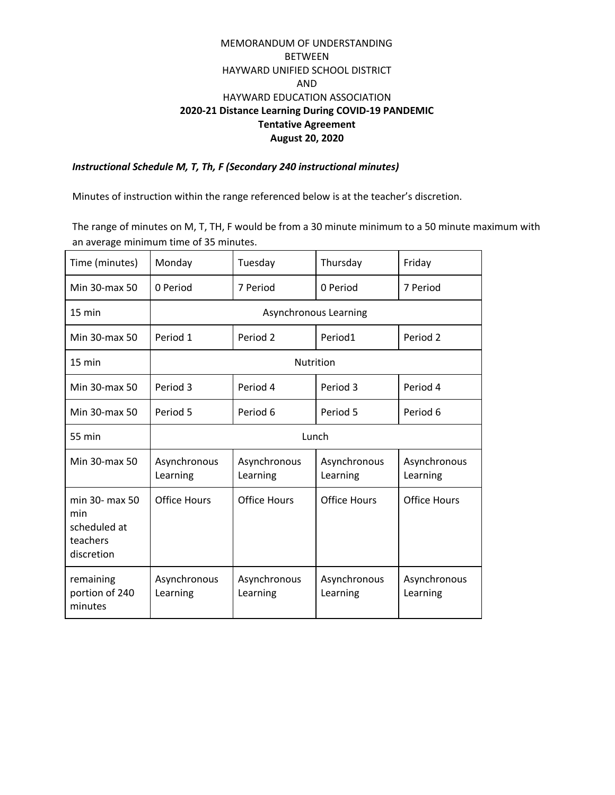*Instructional Schedule M, T, Th, F (Secondary 240 instructional minutes)*

Minutes of instruction within the range referenced below is at the teacher's discretion.

The range of minutes on M, T, TH, F would be from a 30 minute minimum to a 50 minute maximum with an average minimum time of 35 minutes.

| Time (minutes)                                                  | Monday                   | Tuesday                  | Thursday                 | Friday                   |
|-----------------------------------------------------------------|--------------------------|--------------------------|--------------------------|--------------------------|
| Min 30-max 50                                                   | 0 Period                 | 7 Period                 | 0 Period                 | 7 Period                 |
| $15 \text{ min}$                                                | Asynchronous Learning    |                          |                          |                          |
| Min 30-max 50                                                   | Period 1                 | Period 2                 | Period1                  | Period 2                 |
| $15 \text{ min}$                                                | <b>Nutrition</b>         |                          |                          |                          |
| Min 30-max 50                                                   | Period 3                 | Period 4                 | Period 3                 | Period 4                 |
| Min 30-max 50                                                   | Period 5                 | Period 6                 | Period 5                 | Period 6                 |
| 55 min                                                          | Lunch                    |                          |                          |                          |
| Min 30-max 50                                                   | Asynchronous<br>Learning | Asynchronous<br>Learning | Asynchronous<br>Learning | Asynchronous<br>Learning |
| min 30- max 50<br>min<br>scheduled at<br>teachers<br>discretion | Office Hours             | <b>Office Hours</b>      | Office Hours             | <b>Office Hours</b>      |
| remaining<br>portion of 240<br>minutes                          | Asynchronous<br>Learning | Asynchronous<br>Learning | Asynchronous<br>Learning | Asynchronous<br>Learning |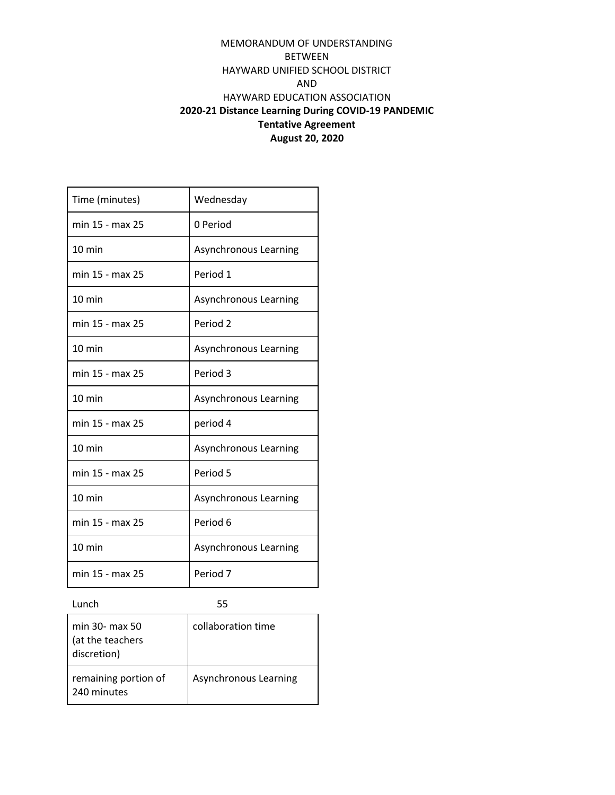| Time (minutes)   | Wednesday             |
|------------------|-----------------------|
| min 15 - max 25  | 0 Period              |
| $10 \text{ min}$ | Asynchronous Learning |
| min 15 - max 25  | Period 1              |
| $10 \text{ min}$ | Asynchronous Learning |
| min 15 - max 25  | Period <sub>2</sub>   |
| $10 \text{ min}$ | Asynchronous Learning |
| min 15 - max 25  | Period 3              |
| $10 \text{ min}$ | Asynchronous Learning |
| min 15 - max 25  | period 4              |
| $10 \text{ min}$ | Asynchronous Learning |
| min 15 - max 25  | Period 5              |
| $10 \text{ min}$ |                       |
|                  | Asynchronous Learning |
| min 15 - max 25  | Period 6              |
| $10 \text{ min}$ | Asynchronous Learning |

Lunch 55

| min 30- max 50<br>(at the teachers<br>discretion) | collaboration time    |
|---------------------------------------------------|-----------------------|
| remaining portion of<br>240 minutes               | Asynchronous Learning |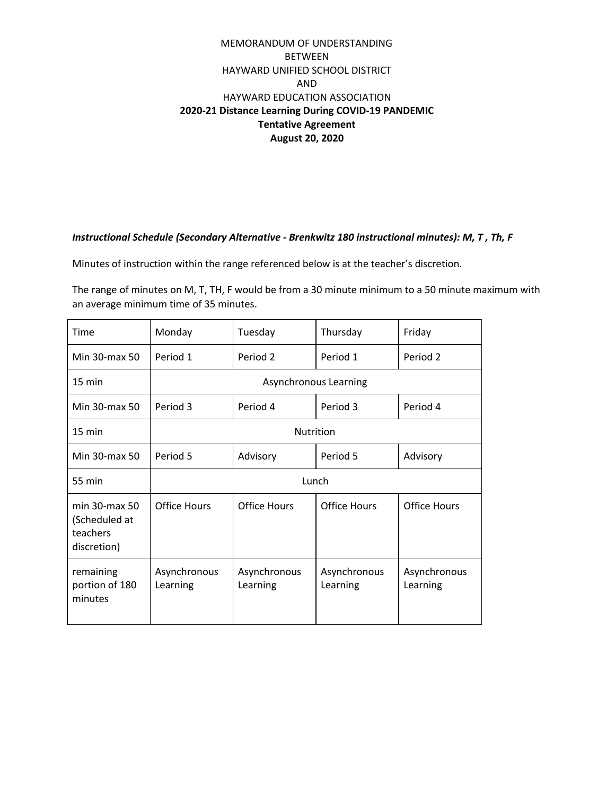#### *Instructional Schedule (Secondary Alternative - Brenkwitz 180 instructional minutes): M, T , Th, F*

Minutes of instruction within the range referenced below is at the teacher's discretion.

The range of minutes on M, T, TH, F would be from a 30 minute minimum to a 50 minute maximum with an average minimum time of 35 minutes.

| Time                                                           | Monday                   | Tuesday                  | Thursday                 | Friday                   |
|----------------------------------------------------------------|--------------------------|--------------------------|--------------------------|--------------------------|
| Min 30-max 50                                                  | Period 1                 | Period 2                 | Period 1                 | Period 2                 |
| $15 \text{ min}$                                               | Asynchronous Learning    |                          |                          |                          |
| Min 30-max 50                                                  | Period 3                 | Period 4                 | Period 3                 | Period 4                 |
| 15 min                                                         | <b>Nutrition</b>         |                          |                          |                          |
| Min 30-max 50                                                  | Period 5                 | Advisory                 | Period 5                 | Advisory                 |
| 55 min                                                         | Lunch                    |                          |                          |                          |
| $min$ 30- $max$ 50<br>(Scheduled at<br>teachers<br>discretion) | Office Hours             | <b>Office Hours</b>      | <b>Office Hours</b>      | <b>Office Hours</b>      |
| remaining<br>portion of 180<br>minutes                         | Asynchronous<br>Learning | Asynchronous<br>Learning | Asynchronous<br>Learning | Asynchronous<br>Learning |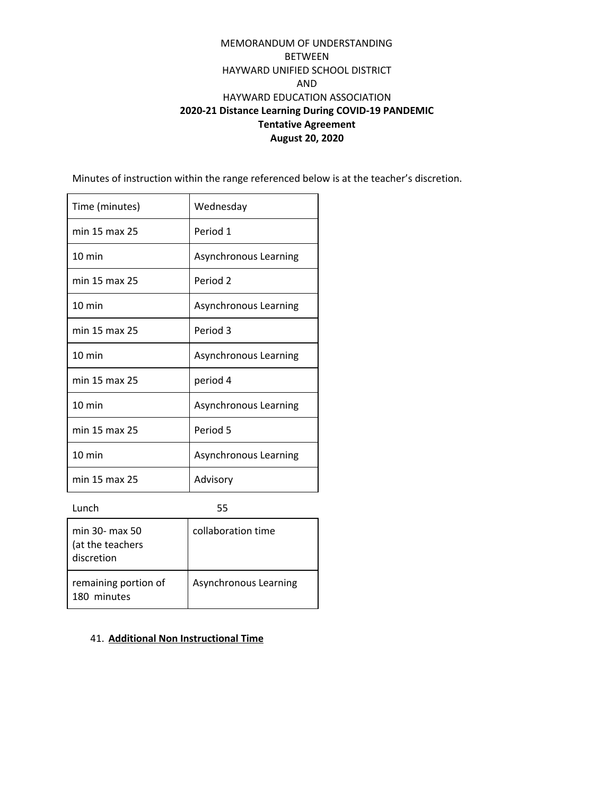Minutes of instruction within the range referenced below is at the teacher's discretion.

| Time (minutes)   | Wednesday             |
|------------------|-----------------------|
| min 15 max 25    | Period 1              |
| $10 \text{ min}$ | Asynchronous Learning |
| min 15 max 25    | Period <sub>2</sub>   |
| $10 \text{ min}$ | Asynchronous Learning |
| min 15 max 25    | Period 3              |
| $10 \text{ min}$ | Asynchronous Learning |
| min 15 max 25    | period 4              |
| $10 \text{ min}$ | Asynchronous Learning |
| min 15 max 25    | Period 5              |
| $10 \text{ min}$ | Asynchronous Learning |
| min 15 max 25    | Advisory              |

Lunch 55

| min 30- max 50<br>(at the teachers<br>discretion | collaboration time    |
|--------------------------------------------------|-----------------------|
| remaining portion of<br>180 minutes              | Asynchronous Learning |

#### 41. **Additional Non Instructional Time**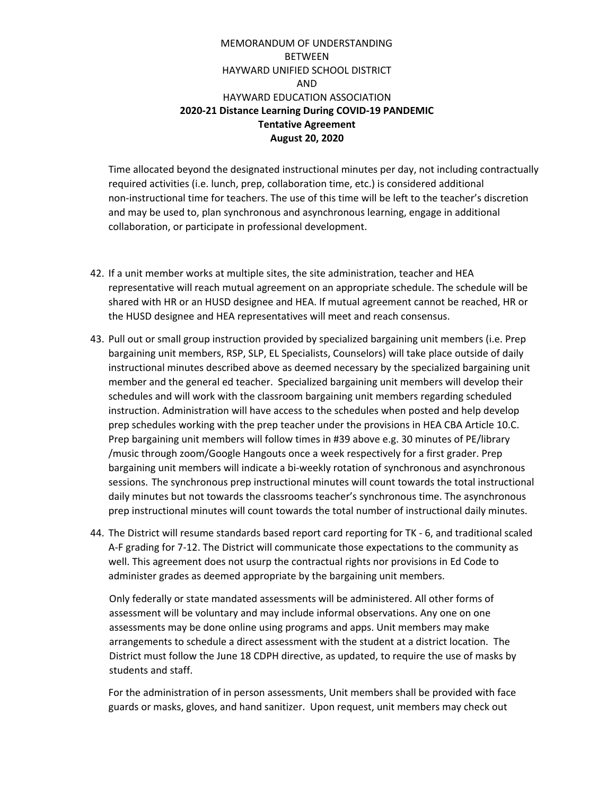Time allocated beyond the designated instructional minutes per day, not including contractually required activities (i.e. lunch, prep, collaboration time, etc.) is considered additional non-instructional time for teachers. The use of this time will be left to the teacher's discretion and may be used to, plan synchronous and asynchronous learning, engage in additional collaboration, or participate in professional development.

- 42. If a unit member works at multiple sites, the site administration, teacher and HEA representative will reach mutual agreement on an appropriate schedule. The schedule will be shared with HR or an HUSD designee and HEA. If mutual agreement cannot be reached, HR or the HUSD designee and HEA representatives will meet and reach consensus.
- 43. Pull out or small group instruction provided by specialized bargaining unit members (i.e. Prep bargaining unit members, RSP, SLP, EL Specialists, Counselors) will take place outside of daily instructional minutes described above as deemed necessary by the specialized bargaining unit member and the general ed teacher. Specialized bargaining unit members will develop their schedules and will work with the classroom bargaining unit members regarding scheduled instruction. Administration will have access to the schedules when posted and help develop prep schedules working with the prep teacher under the provisions in HEA CBA Article 10.C. Prep bargaining unit members will follow times in #39 above e.g. 30 minutes of PE/library /music through zoom/Google Hangouts once a week respectively for a first grader. Prep bargaining unit members will indicate a bi-weekly rotation of synchronous and asynchronous sessions. The synchronous prep instructional minutes will count towards the total instructional daily minutes but not towards the classrooms teacher's synchronous time. The asynchronous prep instructional minutes will count towards the total number of instructional daily minutes.
- 44. The District will resume standards based report card reporting for TK 6, and traditional scaled A-F grading for 7-12. The District will communicate those expectations to the community as well. This agreement does not usurp the contractual rights nor provisions in Ed Code to administer grades as deemed appropriate by the bargaining unit members.

Only federally or state mandated assessments will be administered. All other forms of assessment will be voluntary and may include informal observations. Any one on one assessments may be done online using programs and apps. Unit members may make arrangements to schedule a direct assessment with the student at a district location. The District must follow the June 18 CDPH [directive](https://www.cdph.ca.gov/Programs/CID/DCDC/CDPH%20Document%20Library/COVID-19/Guidance-for-Face-Coverings_06-18-2020.pdf), as updated, to require the use of masks by students and staff.

For the administration of in person assessments, Unit members shall be provided with face guards or masks, gloves, and hand sanitizer. Upon request, unit members may check out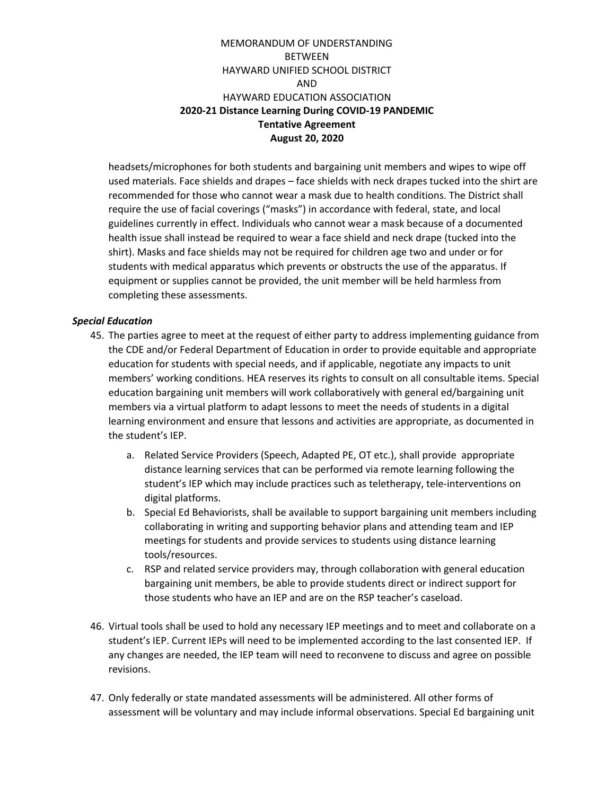headsets/microphones for both students and bargaining unit members and wipes to wipe off used materials. Face shields and drapes – face shields with neck drapes tucked into the shirt are recommended for those who cannot wear a mask due to health conditions. The District shall require the use of facial coverings ("masks") in accordance with federal, state, and local guidelines currently in effect. Individuals who cannot wear a mask because of a documented health issue shall instead be required to wear a face shield and neck drape (tucked into the shirt). Masks and face shields may not be required for children age two and under or for students with medical apparatus which prevents or obstructs the use of the apparatus. If equipment or supplies cannot be provided, the unit member will be held harmless from completing these assessments.

#### *Special Education*

- 45. The parties agree to meet at the request of either party to address implementing guidance from the CDE and/or Federal Department of Education in order to provide equitable and appropriate education for students with special needs, and if applicable, negotiate any impacts to unit members' working conditions. HEA reserves its rights to consult on all consultable items. Special education bargaining unit members will work collaboratively with general ed/bargaining unit members via a virtual platform to adapt lessons to meet the needs of students in a digital learning environment and ensure that lessons and activities are appropriate, as documented in the student's IEP.
	- a. Related Service Providers (Speech, Adapted PE, OT etc.), shall provide appropriate distance learning services that can be performed via remote learning following the student's IEP which may include practices such as teletherapy, tele-interventions on digital platforms.
	- b. Special Ed Behaviorists, shall be available to support bargaining unit members including collaborating in writing and supporting behavior plans and attending team and IEP meetings for students and provide services to students using distance learning tools/resources.
	- c. RSP and related service providers may, through collaboration with general education bargaining unit members, be able to provide students direct or indirect support for those students who have an IEP and are on the RSP teacher's caseload.
- 46. Virtual tools shall be used to hold any necessary IEP meetings and to meet and collaborate on a student's IEP. Current IEPs will need to be implemented according to the last consented IEP. If any changes are needed, the IEP team will need to reconvene to discuss and agree on possible revisions.
- 47. Only federally or state mandated assessments will be administered. All other forms of assessment will be voluntary and may include informal observations. Special Ed bargaining unit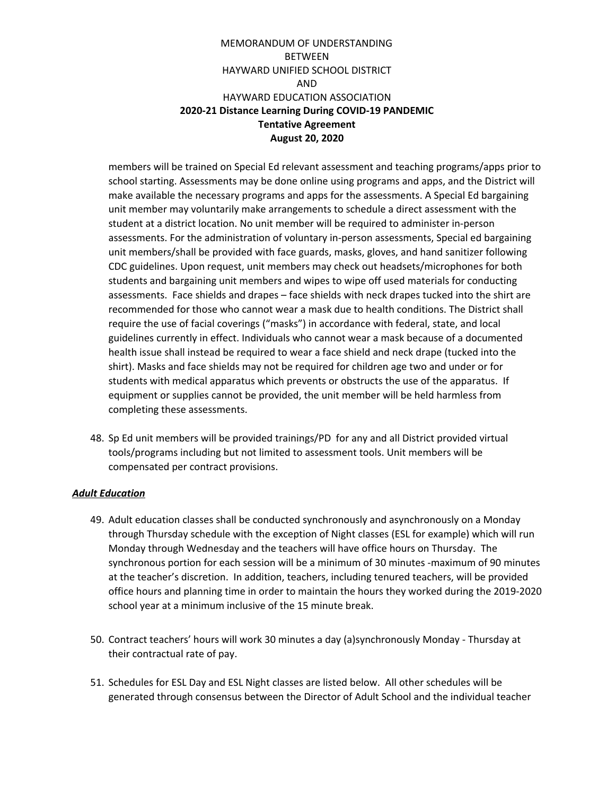members will be trained on Special Ed relevant assessment and teaching programs/apps prior to school starting. Assessments may be done online using programs and apps, and the District will make available the necessary programs and apps for the assessments. A Special Ed bargaining unit member may voluntarily make arrangements to schedule a direct assessment with the student at a district location. No unit member will be required to administer in-person assessments. For the administration of voluntary in-person assessments, Special ed bargaining unit members/shall be provided with face guards, masks, gloves, and hand sanitizer following CDC guidelines. Upon request, unit members may check out headsets/microphones for both students and bargaining unit members and wipes to wipe off used materials for conducting assessments. Face shields and drapes – face shields with neck drapes tucked into the shirt are recommended for those who cannot wear a mask due to health conditions. The District shall require the use of facial coverings ("masks") in accordance with federal, state, and local guidelines currently in effect. Individuals who cannot wear a mask because of a documented health issue shall instead be required to wear a face shield and neck drape (tucked into the shirt). Masks and face shields may not be required for children age two and under or for students with medical apparatus which prevents or obstructs the use of the apparatus. If equipment or supplies cannot be provided, the unit member will be held harmless from completing these assessments.

48. Sp Ed unit members will be provided trainings/PD for any and all District provided virtual tools/programs including but not limited to assessment tools. Unit members will be compensated per contract provisions.

#### *Adult Education*

- 49. Adult education classes shall be conducted synchronously and asynchronously on a Monday through Thursday schedule with the exception of Night classes (ESL for example) which will run Monday through Wednesday and the teachers will have office hours on Thursday. The synchronous portion for each session will be a minimum of 30 minutes -maximum of 90 minutes at the teacher's discretion. In addition, teachers, including tenured teachers, will be provided office hours and planning time in order to maintain the hours they worked during the 2019-2020 school year at a minimum inclusive of the 15 minute break.
- 50. Contract teachers' hours will work 30 minutes a day (a)synchronously Monday Thursday at their contractual rate of pay.
- 51. Schedules for ESL Day and ESL Night classes are listed below. All other schedules will be generated through consensus between the Director of Adult School and the individual teacher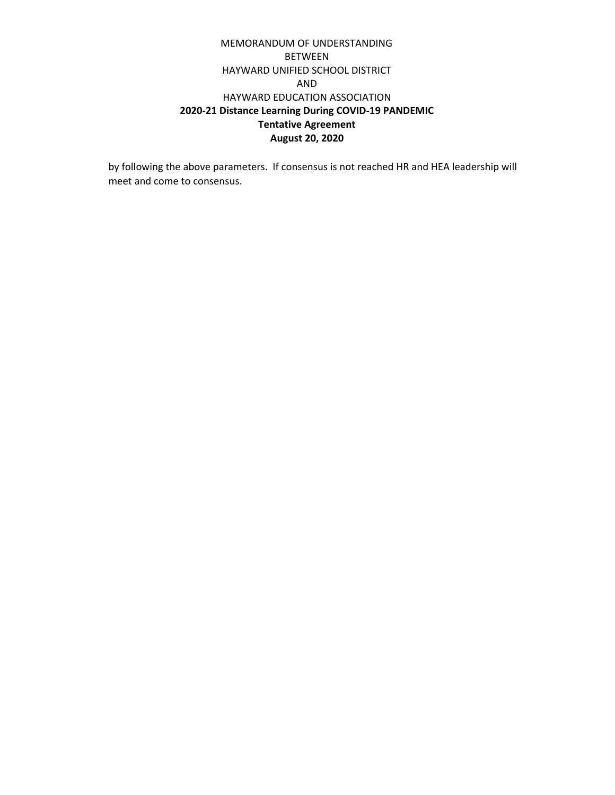by following the above parameters. If consensus is not reached HR and HEA leadership will meet and come to consensus.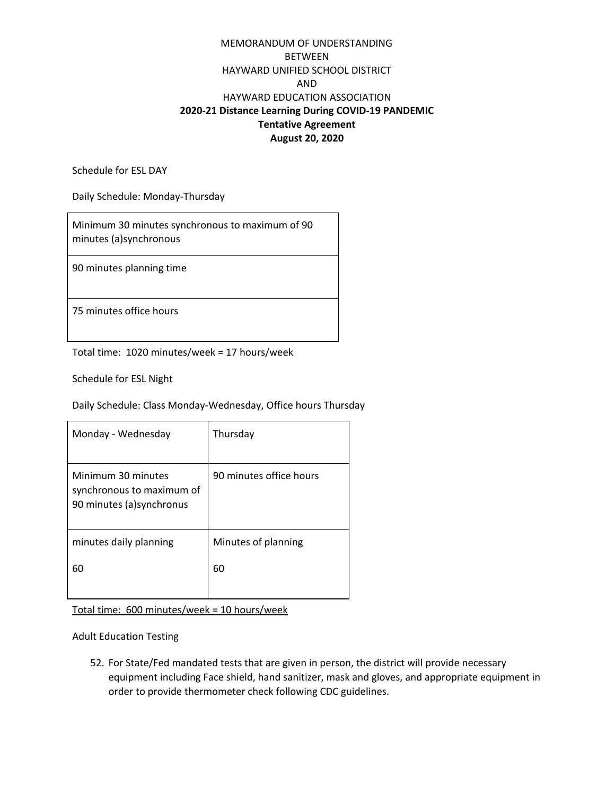Schedule for ESL DAY

Daily Schedule: Monday-Thursday

Minimum 30 minutes synchronous to maximum of 90 minutes (a)synchronous

90 minutes planning time

75 minutes office hours

Total time: 1020 minutes/week = 17 hours/week

Schedule for ESL Night

Daily Schedule: Class Monday-Wednesday, Office hours Thursday

| Monday - Wednesday                                                           | Thursday                |
|------------------------------------------------------------------------------|-------------------------|
| Minimum 30 minutes<br>synchronous to maximum of<br>90 minutes (a) synchronus | 90 minutes office hours |
| minutes daily planning                                                       | Minutes of planning     |
| 60                                                                           | 60                      |

Total time: 600 minutes/week = 10 hours/week

Adult Education Testing

52. For State/Fed mandated tests that are given in person, the district will provide necessary equipment including Face shield, hand sanitizer, mask and gloves, and appropriate equipment in order to provide thermometer check following CDC guidelines.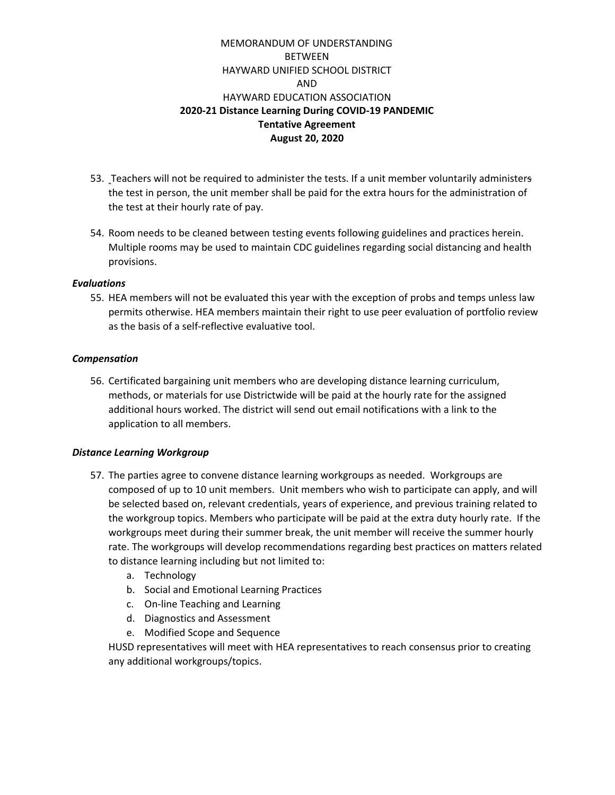- 53. Teachers will not be required to administer the tests. If a unit member voluntarily administers the test in person, the unit member shall be paid for the extra hours for the administration of the test at their hourly rate of pay.
- 54. Room needs to be cleaned between testing events following guidelines and practices herein. Multiple rooms may be used to maintain CDC guidelines regarding social distancing and health provisions.

#### *Evaluations*

55. HEA members will not be evaluated this year with the exception of probs and temps unless law permits otherwise. HEA members maintain their right to use peer evaluation of portfolio review as the basis of a self-reflective evaluative tool.

#### *Compensation*

56. Certificated bargaining unit members who are developing distance learning curriculum, methods, or materials for use Districtwide will be paid at the hourly rate for the assigned additional hours worked. The district will send out email notifications with a link to the application to all members.

#### *Distance Learning Workgroup*

- 57. The parties agree to convene distance learning workgroups as needed. Workgroups are composed of up to 10 unit members. Unit members who wish to participate can apply, and will be selected based on, relevant credentials, years of experience, and previous training related to the workgroup topics. Members who participate will be paid at the extra duty hourly rate. If the workgroups meet during their summer break, the unit member will receive the summer hourly rate. The workgroups will develop recommendations regarding best practices on matters related to distance learning including but not limited to:
	- a. Technology
	- b. Social and Emotional Learning Practices
	- c. On-line Teaching and Learning
	- d. Diagnostics and Assessment
	- e. Modified Scope and Sequence

HUSD representatives will meet with HEA representatives to reach consensus prior to creating any additional workgroups/topics.